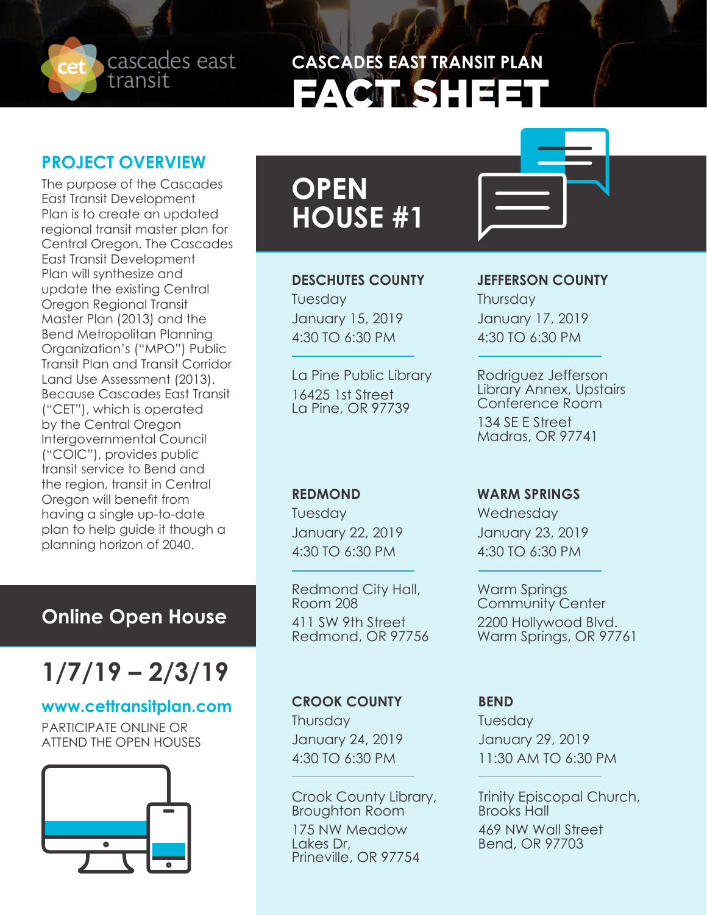cascades east transit

# **CASCADES EAST TRANSIT PLAN** FACT SHEET

### **PROJECT OVERVIEW**

The purpose of the Cascades East Transit Development Plan is to create an updated regional transit master plan for Central Oregon. The Cascades East Transit Development Plan will synthesize and update the existing Central Oregon Regional Transit Master Plan (2013) and the Bend Metropolitan Planning Organization's ("MPO") Public Transit Plan and Transit Corridor Land Use Assessment (2013). Because Cascades East Transit ("CET"), which is operated by the Central Oregon Intergovernmental Council ("COIC"), provides public transit service to Bend and the region, transit in Central Oregon will benefit from having a single up-to-date plan to help guide it though a planning horizon of 2040.

### **Online Open House**

# **1/7/19 – 2/3/19**

#### **www.cettransitplan.com**

PARTICIPATE ONLINE OR ATTEND THE OPEN HOUSES



# **OPEN HOUSE #1**

#### **DESCHUTES COUNTY**

Tuesday January 15, 2019 4:30 TO 6:30 PM

La Pine Public Library 16425 1st Street La Pine, OR 97739

### **REDMOND**

Tuesday January 22, 2019 4:30 TO 6:30 PM

Redmond City Hall, Room 208 411 SW 9th Street Redmond, OR 97756

#### **JEFFERSON COUNTY**

**Thursday** January 17, 2019 4:30 TO 6:30 PM

Rodriguez Jefferson Library Annex, Upstairs Conference Room 134 SE E Street Madras, OR 97741

#### **WARM SPRINGS**

**Wednesday** January 23, 2019 4:30 TO 6:30 PM

Warm Springs Community Center 2200 Hollywood Blvd. Warm Springs, OR 97761

#### **CROOK COUNTY**

**Thursday** January 24, 2019 4:30 TO 6:30 PM

Crook County Library, Broughton Room 175 NW Meadow<br>Lakes Dr, Prineville, OR 97754

#### **BEND**

Tuesday January 29, 2019 11:30 AM TO 6:30 PM

Trinity Episcopal Church, Brooks Hall 469 NW Wall Street Bend, OR 97703